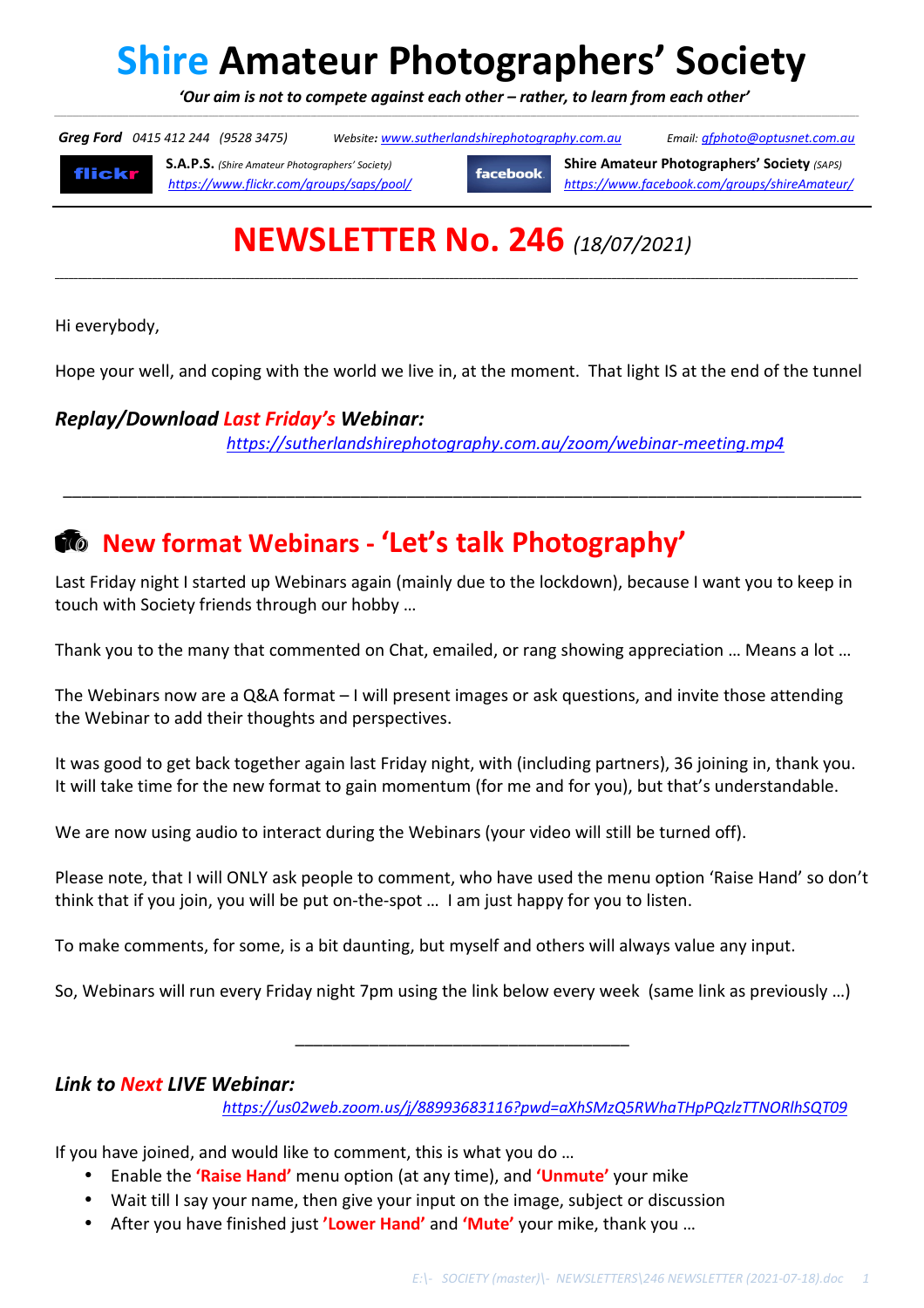# **Shire Amateur Photographers' Society**

 *'Our aim is not to compete against each other – rather, to learn from each other'*  \_\_\_\_\_\_\_\_\_\_\_\_\_\_\_\_\_\_\_\_\_\_\_\_\_\_\_\_\_\_\_\_\_\_\_\_\_\_\_\_\_\_\_\_\_\_\_\_\_\_\_\_\_\_\_\_\_\_\_\_\_\_\_\_\_\_\_\_\_\_\_\_\_\_\_\_\_\_\_\_\_\_\_\_\_\_\_\_\_\_\_\_\_\_\_\_\_\_\_\_\_\_\_\_\_\_\_\_\_\_\_\_\_\_\_\_\_\_\_\_\_\_\_\_\_\_\_\_\_\_\_\_\_\_\_\_\_\_\_\_\_\_\_\_\_\_\_\_\_\_\_\_\_\_\_\_\_\_\_\_\_\_\_\_\_\_\_\_\_\_\_\_\_\_\_\_\_\_\_\_\_\_\_\_\_\_\_\_\_\_\_\_\_\_\_\_\_\_\_\_\_\_\_\_\_\_\_\_\_\_\_\_\_\_\_\_\_\_\_\_\_\_\_\_\_\_\_\_\_\_\_\_\_\_\_\_\_\_\_\_\_\_\_\_\_\_\_\_\_\_\_\_\_\_\_\_\_\_\_\_

 *Greg Ford 0415 412 244 (9528 3475) Website: www.sutherlandshirephotography.com.au Email: gfphoto@optusnet.com.au* 

**flickr** 

**S.A.P.S.** *(Shire Amateur Photographers' Society)* **facebook Shire Amateur Photographers' Society** *(SAPS) https://www.flickr.com/groups/saps/pool/ https://www.facebook.com/groups/shireAmateur/*

## **NEWSLETTER No. 246** *(18/07/2021)*

**\_\_\_\_\_\_\_\_\_\_\_\_\_\_\_\_\_\_\_\_\_\_\_\_\_\_\_\_\_\_\_\_\_\_\_\_\_\_\_\_\_\_\_\_\_\_\_\_\_\_\_\_\_\_\_\_\_\_\_\_\_\_\_\_\_\_\_\_\_\_\_\_\_\_\_\_\_\_\_\_\_\_\_\_\_\_\_\_\_\_\_\_\_\_\_\_\_\_\_\_\_\_\_\_\_\_\_\_\_\_\_\_\_\_\_\_\_\_\_\_\_\_\_\_\_\_\_\_\_\_\_\_\_\_\_\_\_\_\_\_\_\_\_\_\_\_\_\_\_\_\_\_\_\_\_\_\_\_\_\_\_\_\_\_\_\_\_\_\_\_\_\_\_** 

Hi everybody,

Hope your well, and coping with the world we live in, at the moment. That light IS at the end of the tunnel

\_\_\_\_\_\_\_\_\_\_\_\_\_\_\_\_\_\_\_\_\_\_\_\_\_\_\_\_\_\_\_\_\_\_\_\_\_\_\_\_\_\_\_\_\_\_\_\_\_\_\_\_\_\_\_\_\_\_\_\_\_\_\_\_\_\_\_\_\_\_\_\_\_\_\_\_\_\_\_\_\_\_\_\_\_\_

### *Replay/Download Last Friday's Webinar:*

*https://sutherlandshirephotography.com.au/zoom/webinar-meeting.mp4*

### **New format Webinars - 'Let's talk Photography'**

Last Friday night I started up Webinars again (mainly due to the lockdown), because I want you to keep in touch with Society friends through our hobby …

Thank you to the many that commented on Chat, emailed, or rang showing appreciation … Means a lot …

The Webinars now are a Q&A format – I will present images or ask questions, and invite those attending the Webinar to add their thoughts and perspectives.

It was good to get back together again last Friday night, with (including partners), 36 joining in, thank you. It will take time for the new format to gain momentum (for me and for you), but that's understandable.

We are now using audio to interact during the Webinars (your video will still be turned off).

Please note, that I will ONLY ask people to comment, who have used the menu option 'Raise Hand' so don't think that if you join, you will be put on-the-spot … I am just happy for you to listen.

To make comments, for some, is a bit daunting, but myself and others will always value any input.

So, Webinars will run every Friday night 7pm using the link below every week (same link as previously …)

\_\_\_\_\_\_\_\_\_\_\_\_\_\_\_\_\_\_\_\_\_\_\_\_\_\_\_\_\_\_\_\_\_\_\_\_

### *Link to Next LIVE Webinar:*

*https://us02web.zoom.us/j/88993683116?pwd=aXhSMzQ5RWhaTHpPQzlzTTNORlhSQT09*

If you have joined, and would like to comment, this is what you do …

- Enable the **'Raise Hand'** menu option (at any time), and **'Unmute'** your mike
- Wait till I say your name, then give your input on the image, subject or discussion
- After you have finished just **'Lower Hand'** and **'Mute'** your mike, thank you …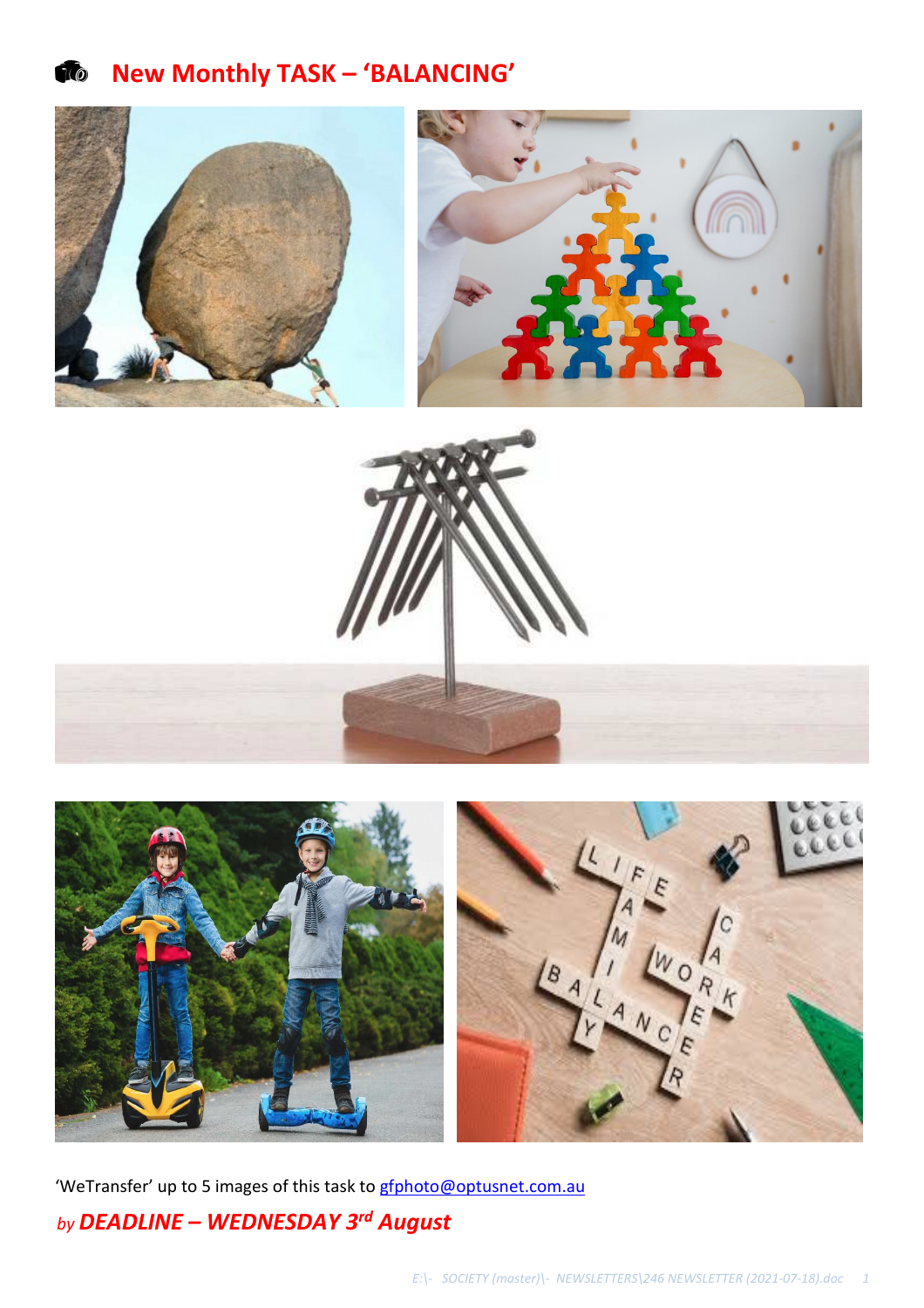**New Monthly TASK – 'BALANCING'** 





'WeTransfer' up to 5 images of this task to **gfphoto@optusnet.com.au** *by DEADLINE – WEDNESDAY 3rd August*